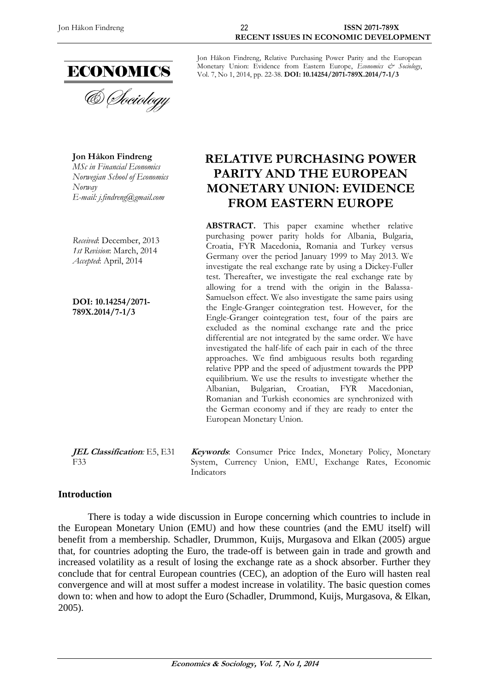

**Jon Håkon Findreng** *MSc in Financial Economics Norwegian School of Economics Norway E-mail: j.findreng@gmail.com*

*Received*: December, 2013 *1st Revision*: March, 2014 *Accepted*: April, 2014

**DOI: 10.14254/2071- 789X.2014/7-1/3**

Jon Håkon Findreng, Relative Purchasing Power Parity and the European Monetary Union: Evidence from Eastern Europe, *Economics & Sociology*, Vol. 7, No 1, 2014, pp. 22-38. **DOI: 10.14254/2071-789X.2014/7-1/3**

# **RELATIVE PURCHASING POWER PARITY AND THE EUROPEAN MONETARY UNION: EVIDENCE FROM EASTERN EUROPE**

**ABSTRACT.** This paper examine whether relative purchasing power parity holds for Albania, Bulgaria, Croatia, FYR Macedonia, Romania and Turkey versus Germany over the period January 1999 to May 2013. We investigate the real exchange rate by using a Dickey-Fuller test. Thereafter, we investigate the real exchange rate by allowing for a trend with the origin in the Balassa-Samuelson effect. We also investigate the same pairs using the Engle-Granger cointegration test. However, for the Engle-Granger cointegration test, four of the pairs are excluded as the nominal exchange rate and the price differential are not integrated by the same order. We have investigated the half-life of each pair in each of the three approaches. We find ambiguous results both regarding relative PPP and the speed of adjustment towards the PPP equilibrium. We use the results to investigate whether the Albanian, Bulgarian, Croatian, FYR Macedonian, Romanian and Turkish economies are synchronized with the German economy and if they are ready to enter the European Monetary Union.

**Keywords**: Consumer Price Index, Monetary Policy, Monetary System, Currency Union, EMU, Exchange Rates, Economic

**JEL Classification***:* E5, E31 F33

**Introduction**

There is today a wide discussion in Europe concerning which countries to include in the European Monetary Union (EMU) and how these countries (and the EMU itself) will benefit from a membership. Schadler, Drummon, Kuijs, Murgasova and Elkan (2005) argue that, for countries adopting the Euro, the trade-off is between gain in trade and growth and increased volatility as a result of losing the exchange rate as a shock absorber. Further they conclude that for central European countries (CEC), an adoption of the Euro will hasten real convergence and will at most suffer a modest increase in volatility. The basic question comes down to: when and how to adopt the Euro (Schadler, Drummond, Kuijs, Murgasova, & Elkan, 2005).

Indicators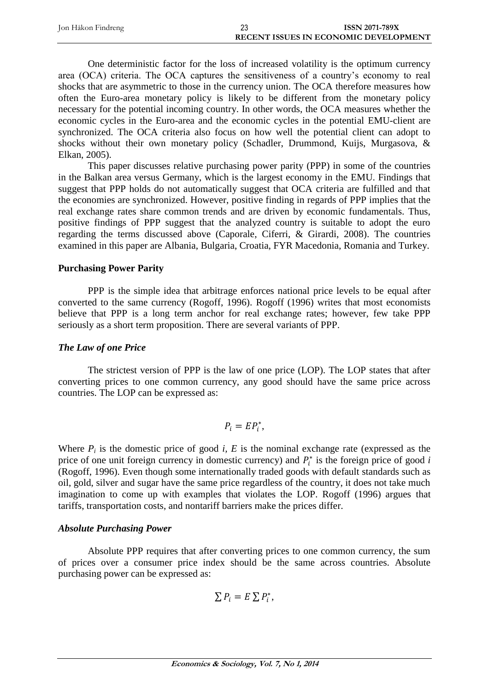| Jon Håkon Findreng | 23 | <b>ISSN 2071-789X</b>                        |
|--------------------|----|----------------------------------------------|
|                    |    | <b>RECENT ISSUES IN ECONOMIC DEVELOPMENT</b> |

One deterministic factor for the loss of increased volatility is the optimum currency area (OCA) criteria. The OCA captures the sensitiveness of a country's economy to real shocks that are asymmetric to those in the currency union. The OCA therefore measures how often the Euro-area monetary policy is likely to be different from the monetary policy necessary for the potential incoming country. In other words, the OCA measures whether the economic cycles in the Euro-area and the economic cycles in the potential EMU-client are synchronized. The OCA criteria also focus on how well the potential client can adopt to shocks without their own monetary policy (Schadler, Drummond, Kuijs, Murgasova, & Elkan, 2005).

This paper discusses relative purchasing power parity (PPP) in some of the countries in the Balkan area versus Germany, which is the largest economy in the EMU. Findings that suggest that PPP holds do not automatically suggest that OCA criteria are fulfilled and that the economies are synchronized. However, positive finding in regards of PPP implies that the real exchange rates share common trends and are driven by economic fundamentals. Thus, positive findings of PPP suggest that the analyzed country is suitable to adopt the euro regarding the terms discussed above (Caporale, Ciferri, & Girardi, 2008). The countries examined in this paper are Albania, Bulgaria, Croatia, FYR Macedonia, Romania and Turkey.

### **Purchasing Power Parity**

PPP is the simple idea that arbitrage enforces national price levels to be equal after converted to the same currency (Rogoff, 1996). Rogoff (1996) writes that most economists believe that PPP is a long term anchor for real exchange rates; however, few take PPP seriously as a short term proposition. There are several variants of PPP.

## *The Law of one Price*

The strictest version of PPP is the law of one price (LOP). The LOP states that after converting prices to one common currency, any good should have the same price across countries. The LOP can be expressed as:

$$
P_i = EP_i^*,
$$

Where  $P_i$  is the domestic price of good *i*, *E* is the nominal exchange rate (expressed as the price of one unit foreign currency in domestic currency) and  $P_i^*$  is the foreign price of good *i* (Rogoff, 1996). Even though some internationally traded goods with default standards such as oil, gold, silver and sugar have the same price regardless of the country, it does not take much imagination to come up with examples that violates the LOP. Rogoff (1996) argues that tariffs, transportation costs, and nontariff barriers make the prices differ.

### *Absolute Purchasing Power*

Absolute PPP requires that after converting prices to one common currency, the sum of prices over a consumer price index should be the same across countries. Absolute purchasing power can be expressed as:

$$
\sum P_i = E \sum P_i^*,
$$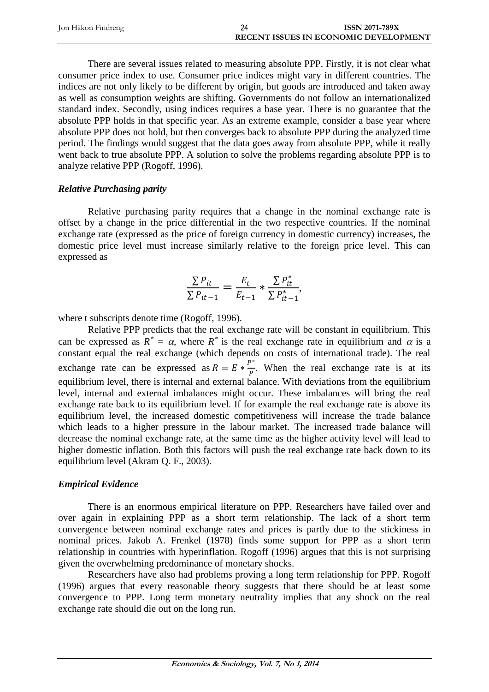| Jon Håkon Findreng | <b>ISSN 2071-789X</b>                        |
|--------------------|----------------------------------------------|
|                    | <b>RECENT ISSUES IN ECONOMIC DEVELOPMENT</b> |

There are several issues related to measuring absolute PPP. Firstly, it is not clear what consumer price index to use. Consumer price indices might vary in different countries. The indices are not only likely to be different by origin, but goods are introduced and taken away as well as consumption weights are shifting. Governments do not follow an internationalized standard index. Secondly, using indices requires a base year. There is no guarantee that the absolute PPP holds in that specific year. As an extreme example, consider a base year where absolute PPP does not hold, but then converges back to absolute PPP during the analyzed time period. The findings would suggest that the data goes away from absolute PPP, while it really went back to true absolute PPP. A solution to solve the problems regarding absolute PPP is to analyze relative PPP (Rogoff, 1996).

### *Relative Purchasing parity*

Relative purchasing parity requires that a change in the nominal exchange rate is offset by a change in the price differential in the two respective countries. If the nominal exchange rate (expressed as the price of foreign currency in domestic currency) increases, the domestic price level must increase similarly relative to the foreign price level. This can expressed as

$$
\frac{\sum P_{it}}{\sum P_{it-1}} = \frac{E_t}{E_{t-1}} * \frac{\sum P_{it}^*}{\sum P_{it-1}^*},
$$

where t subscripts denote time (Rogoff, 1996).

Relative PPP predicts that the real exchange rate will be constant in equilibrium. This can be expressed as  $R^* = \alpha$ , where  $R^*$  is the real exchange rate in equilibrium and  $\alpha$  is a constant equal the real exchange (which depends on costs of international trade). The real exchange rate can be expressed as  $R = E * \frac{P^*}{P}$  $\frac{1}{p}$ . When the real exchange rate is at its equilibrium level, there is internal and external balance. With deviations from the equilibrium level, internal and external imbalances might occur. These imbalances will bring the real exchange rate back to its equilibrium level. If for example the real exchange rate is above its equilibrium level, the increased domestic competitiveness will increase the trade balance which leads to a higher pressure in the labour market. The increased trade balance will decrease the nominal exchange rate, at the same time as the higher activity level will lead to higher domestic inflation. Both this factors will push the real exchange rate back down to its equilibrium level (Akram Q. F., 2003).

### *Empirical Evidence*

There is an enormous empirical literature on PPP. Researchers have failed over and over again in explaining PPP as a short term relationship. The lack of a short term convergence between nominal exchange rates and prices is partly due to the stickiness in nominal prices. Jakob A. Frenkel (1978) finds some support for PPP as a short term relationship in countries with hyperinflation. Rogoff (1996) argues that this is not surprising given the overwhelming predominance of monetary shocks.

Researchers have also had problems proving a long term relationship for PPP. Rogoff (1996) argues that every reasonable theory suggests that there should be at least some convergence to PPP. Long term monetary neutrality implies that any shock on the real exchange rate should die out on the long run.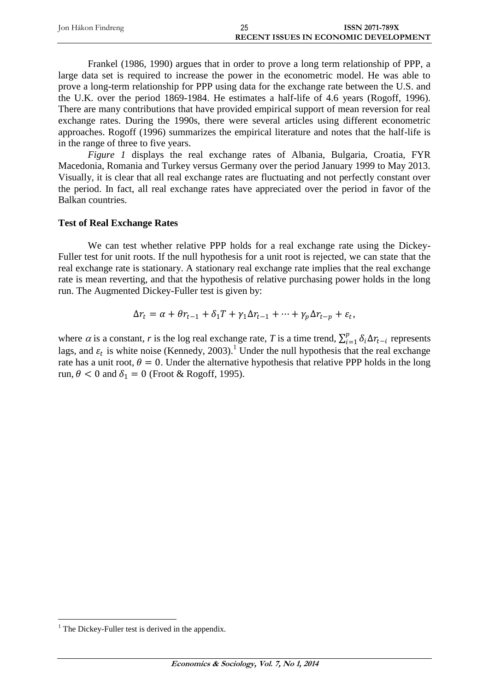| Jon Håkon Findreng | 25 | <b>ISSN 2071-789X</b>                        |
|--------------------|----|----------------------------------------------|
|                    |    | <b>RECENT ISSUES IN ECONOMIC DEVELOPMENT</b> |

Frankel (1986, 1990) argues that in order to prove a long term relationship of PPP, a large data set is required to increase the power in the econometric model. He was able to prove a long-term relationship for PPP using data for the exchange rate between the U.S. and the U.K. over the period 1869-1984. He estimates a half-life of 4.6 years (Rogoff, 1996). There are many contributions that have provided empirical support of mean reversion for real exchange rates. During the 1990s, there were several articles using different econometric approaches. Rogoff (1996) summarizes the empirical literature and notes that the half-life is in the range of three to five years.

*Figure 1* displays the real exchange rates of Albania, Bulgaria, Croatia, FYR Macedonia, Romania and Turkey versus Germany over the period January 1999 to May 2013. Visually, it is clear that all real exchange rates are fluctuating and not perfectly constant over the period. In fact, all real exchange rates have appreciated over the period in favor of the Balkan countries.

### **Test of Real Exchange Rates**

We can test whether relative PPP holds for a real exchange rate using the Dickey-Fuller test for unit roots. If the null hypothesis for a unit root is rejected, we can state that the real exchange rate is stationary. A stationary real exchange rate implies that the real exchange rate is mean reverting, and that the hypothesis of relative purchasing power holds in the long run. The Augmented Dickey-Fuller test is given by:

$$
\Delta r_t = \alpha + \theta r_{t-1} + \delta_1 T + \gamma_1 \Delta r_{t-1} + \dots + \gamma_p \Delta r_{t-p} + \varepsilon_t,
$$

where  $\alpha$  is a constant, *r* is the log real exchange rate, *T* is a time trend,  $\sum_{i=1}^{p} \delta_i \Delta r_{t-i}$  $_{i=1}^{p} \delta_i \Delta r_{t-i}$  represents lags, and  $\varepsilon_t$  is white noise (Kennedy, 2003).<sup>1</sup> Under the null hypothesis that the real exchange rate has a unit root,  $\theta = 0$ . Under the alternative hypothesis that relative PPP holds in the long run,  $\theta$  < 0 and  $\delta_1$  = 0 (Froot & Rogoff, 1995).

 $\overline{a}$ 

 $<sup>1</sup>$  The Dickey-Fuller test is derived in the appendix.</sup>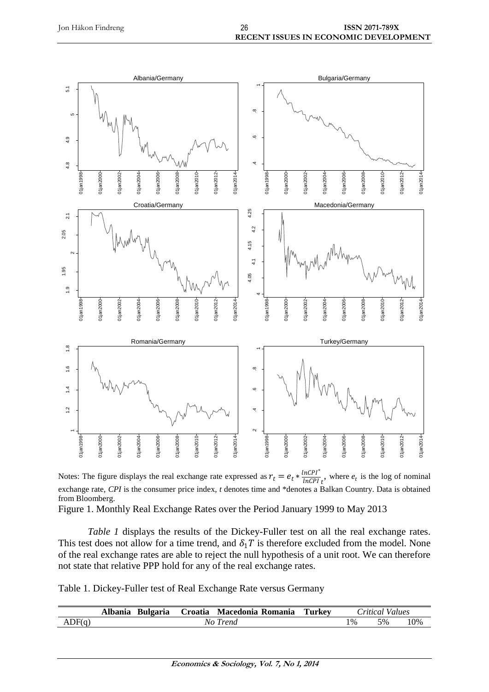

Notes: The figure displays the real exchange rate expressed as  $r_t = e_t * \frac{ln CPI^*}{ln CPI}$  $\frac{ln[CP]}{ln[CP]}_t$ , where  $e_t$  is the log of nominal exchange rate, *CPI* is the consumer price index, *t* denotes time and \*denotes a Balkan Country. Data is obtained from Bloomberg.

Figure 1. Monthly Real Exchange Rates over the Period January 1999 to May 2013

*Table 1* displays the results of the Dickey-Fuller test on all the real exchange rates. This test does not allow for a time trend, and  $\delta_1 T$  is therefore excluded from the model. None of the real exchange rates are able to reject the null hypothesis of a unit root. We can therefore not state that relative PPP hold for any of the real exchange rates.

Table 1. Dickey-Fuller test of Real Exchange Rate versus Germany

|        | Albania<br>Bulgaria | `roatia | Romania<br>Macedonia | Turkev |       | ritical<br>Values |     |
|--------|---------------------|---------|----------------------|--------|-------|-------------------|-----|
| ADF(q) |                     | No      | <i>rend</i>          |        | $1\%$ | 5%                | 10% |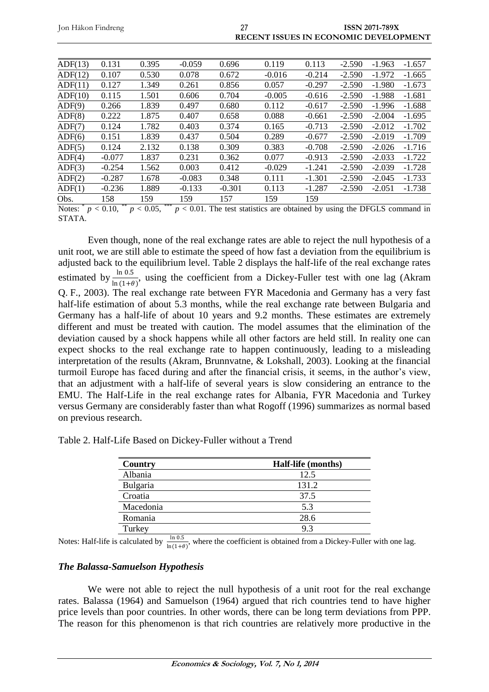| Jon Håkon Findreng |          |       |          | 27       | RECENT ISSUES IN ECONOMIC DEVELOPMENT |          |          | <b>ISSN 2071-789X</b> |          |
|--------------------|----------|-------|----------|----------|---------------------------------------|----------|----------|-----------------------|----------|
| ADF(13)            | 0.131    | 0.395 | $-0.059$ | 0.696    | 0.119                                 | 0.113    | $-2.590$ | $-1.963$              | $-1.657$ |
| ADF(12)            | 0.107    | 0.530 | 0.078    | 0.672    | $-0.016$                              | $-0.214$ | $-2.590$ | $-1.972$              | $-1.665$ |
| ADF(11)            | 0.127    | 1.349 | 0.261    | 0.856    | 0.057                                 | $-0.297$ | $-2.590$ | $-1.980$              | $-1.673$ |
| ADF(10)            | 0.115    | 1.501 | 0.606    | 0.704    | $-0.005$                              | $-0.616$ | $-2.590$ | $-1.988$              | $-1.681$ |
| ADF(9)             | 0.266    | 1.839 | 0.497    | 0.680    | 0.112                                 | $-0.617$ | $-2.590$ | $-1.996$              | $-1.688$ |
| ADF(8)             | 0.222    | 1.875 | 0.407    | 0.658    | 0.088                                 | $-0.661$ | $-2.590$ | $-2.004$              | $-1.695$ |
| ADF(7)             | 0.124    | 1.782 | 0.403    | 0.374    | 0.165                                 | $-0.713$ | $-2.590$ | $-2.012$              | $-1.702$ |
| ADF(6)             | 0.151    | 1.839 | 0.437    | 0.504    | 0.289                                 | $-0.677$ | $-2.590$ | $-2.019$              | $-1.709$ |
| ADF(5)             | 0.124    | 2.132 | 0.138    | 0.309    | 0.383                                 | $-0.708$ | $-2.590$ | $-2.026$              | $-1.716$ |
| ADF(4)             | $-0.077$ | 1.837 | 0.231    | 0.362    | 0.077                                 | $-0.913$ | $-2.590$ | $-2.033$              | $-1.722$ |
| ADF(3)             | $-0.254$ | 1.562 | 0.003    | 0.412    | $-0.029$                              | -1.241   | $-2.590$ | $-2.039$              | $-1.728$ |
| ADF(2)             | $-0.287$ | 1.678 | $-0.083$ | 0.348    | 0.111                                 | -1.301   | $-2.590$ | $-2.045$              | $-1.733$ |
| ADF(1)             | $-0.236$ | 1.889 | $-0.133$ | $-0.301$ | 0.113                                 | -1.287   | $-2.590$ | $-2.051$              | $-1.738$ |

Notes:  $^{*} p < 0.10$ , \*\*  $p < 0.05$ , \*\*\*  $p < 0.01$ . The test statistics are obtained by using the DFGLS command in STATA.

Even though, none of the real exchange rates are able to reject the null hypothesis of a unit root, we are still able to estimate the speed of how fast a deviation from the equilibrium is adjusted back to the equilibrium level. Table 2 displays the half-life of the real exchange rates estimated by  $\frac{\ln 0.5}{\ln(1+\theta)}$ , using the coefficient from a Dickey-Fuller test with one lag (Akram Q. F., 2003). The real exchange rate between FYR Macedonia and Germany has a very fast half-life estimation of about 5.3 months, while the real exchange rate between Bulgaria and Germany has a half-life of about 10 years and 9.2 months. These estimates are extremely different and must be treated with caution. The model assumes that the elimination of the deviation caused by a shock happens while all other factors are held still. In reality one can expect shocks to the real exchange rate to happen continuously, leading to a misleading interpretation of the results (Akram, Brunnvatne, & Lokshall, 2003). Looking at the financial turmoil Europe has faced during and after the financial crisis, it seems, in the author's view, that an adjustment with a half-life of several years is slow considering an entrance to the EMU. The Half-Life in the real exchange rates for Albania, FYR Macedonia and Turkey versus Germany are considerably faster than what Rogoff (1996) summarizes as normal based on previous research.

| Country   | <b>Half-life</b> (months) |
|-----------|---------------------------|
| Albania   | 12.5                      |
| Bulgaria  | 131.2                     |
| Croatia   | 37.5                      |
| Macedonia | 5.3                       |
| Romania   | 28.6                      |
| Turkey    | 93                        |

Table 2. Half-Life Based on Dickey-Fuller without a Trend

Obs. 158 159 159 157 159 159

Notes: Half-life is calculated by  $\frac{\ln 0.5}{\ln(1+\theta)}$ , where the coefficient is obtained from a Dickey-Fuller with one lag.

### *The Balassa-Samuelson Hypothesis*

We were not able to reject the null hypothesis of a unit root for the real exchange rates. Balassa (1964) and Samuelson (1964) argued that rich countries tend to have higher price levels than poor countries. In other words, there can be long term deviations from PPP. The reason for this phenomenon is that rich countries are relatively more productive in the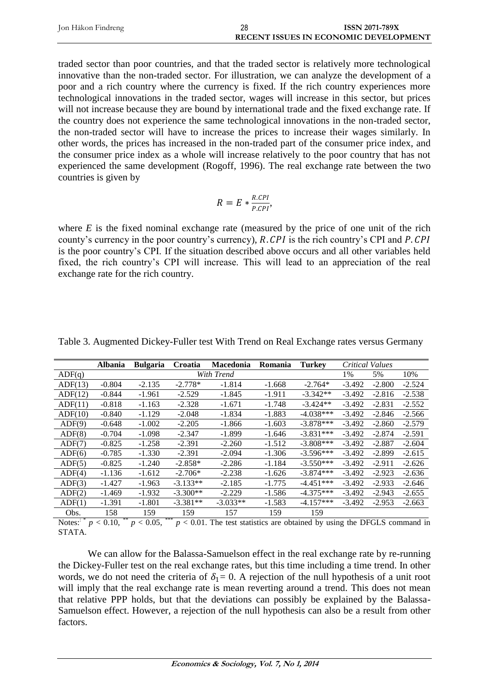| Jon Håkon Findreng | 28 | <b>ISSN 2071-789X</b>                        |
|--------------------|----|----------------------------------------------|
|                    |    | <b>RECENT ISSUES IN ECONOMIC DEVELOPMENT</b> |

traded sector than poor countries, and that the traded sector is relatively more technological innovative than the non-traded sector. For illustration, we can analyze the development of a poor and a rich country where the currency is fixed. If the rich country experiences more technological innovations in the traded sector, wages will increase in this sector, but prices will not increase because they are bound by international trade and the fixed exchange rate. If the country does not experience the same technological innovations in the non-traded sector, the non-traded sector will have to increase the prices to increase their wages similarly. In other words, the prices has increased in the non-traded part of the consumer price index, and the consumer price index as a whole will increase relatively to the poor country that has not experienced the same development (Rogoff, 1996). The real exchange rate between the two countries is given by

$$
R = E * \frac{R.CPI}{P.CPI},
$$

where  $E$  is the fixed nominal exchange rate (measured by the price of one unit of the rich county's currency in the poor country's currency),  $R$ .  $CPI$  is the rich country's CPI and  $P$ .  $CPI$ is the poor country's CPI. If the situation described above occurs and all other variables held fixed, the rich country's CPI will increase. This will lead to an appreciation of the real exchange rate for the rich country.

|         | <b>Albania</b> | <b>Bulgaria</b> | Croatia    | <b>Macedonia</b> | Romania  | <b>Turkey</b> |          | Critical Values |          |
|---------|----------------|-----------------|------------|------------------|----------|---------------|----------|-----------------|----------|
| ADF(q)  |                |                 |            | With Trend       |          |               | 1%       | 5%              | 10%      |
| ADF(13) | $-0.804$       | $-2.135$        | $-2.778*$  | $-1.814$         | $-1.668$ | $-2.764*$     | $-3.492$ | $-2.800$        | $-2.524$ |
| ADF(12) | $-0.844$       | $-1.961$        | $-2.529$   | $-1.845$         | $-1.911$ | $-3.342**$    | $-3.492$ | $-2.816$        | $-2.538$ |
| ADF(11) | $-0.818$       | $-1.163$        | $-2.328$   | $-1.671$         | $-1.748$ | $-3.424**$    | $-3.492$ | $-2.831$        | $-2.552$ |
| ADF(10) | $-0.840$       | $-1.129$        | $-2.048$   | $-1.834$         | $-1.883$ | $-4.038***$   | $-3.492$ | $-2.846$        | $-2.566$ |
| ADF(9)  | $-0.648$       | $-1.002$        | $-2.205$   | $-1.866$         | $-1.603$ | $-3.878***$   | $-3.492$ | $-2.860$        | $-2.579$ |
| ADF(8)  | $-0.704$       | $-1.098$        | $-2.347$   | $-1.899$         | $-1.646$ | $-3.831***$   | $-3.492$ | $-2.874$        | $-2.591$ |
| ADF(7)  | $-0.825$       | $-1.258$        | $-2.391$   | $-2.260$         | $-1.512$ | $-3.808***$   | $-3.492$ | $-2.887$        | $-2.604$ |
| ADF(6)  | $-0.785$       | $-1.330$        | $-2.391$   | $-2.094$         | $-1.306$ | $-3.596***$   | $-3.492$ | $-2.899$        | $-2.615$ |
| ADF(5)  | $-0.825$       | $-1.240$        | $-2.858*$  | $-2.286$         | $-1.184$ | $-3.550***$   | $-3.492$ | $-2.911$        | $-2.626$ |
| ADF(4)  | $-1.136$       | $-1.612$        | $-2.706*$  | $-2.238$         | $-1.626$ | $-3.874***$   | $-3.492$ | $-2.923$        | $-2.636$ |
| ADF(3)  | $-1.427$       | $-1.963$        | $-3.133**$ | $-2.185$         | $-1.775$ | $-4.451***$   | $-3.492$ | $-2.933$        | $-2.646$ |
| ADF(2)  | $-1.469$       | $-1.932$        | $-3.300**$ | $-2.229$         | $-1.586$ | $-4.375***$   | $-3.492$ | $-2.943$        | $-2.655$ |
| ADF(1)  | $-1.391$       | $-1.801$        | $-3.381**$ | $-3.033**$       | $-1.583$ | $-4.157***$   | $-3.492$ | $-2.953$        | $-2.663$ |
| Obs.    | 158            | 159             | 159        | 157              | 159      | 159           |          |                 |          |

Table 3. Augmented Dickey-Fuller test With Trend on Real Exchange rates versus Germany

Notes:  $p < 0.10$ ,  $p < 0.05$ , \*\*\*  $p < 0.01$ . The test statistics are obtained by using the DFGLS command in STATA.

We can allow for the Balassa-Samuelson effect in the real exchange rate by re-running the Dickey-Fuller test on the real exchange rates, but this time including a time trend. In other words, we do not need the criteria of  $\delta_1 = 0$ . A rejection of the null hypothesis of a unit root will imply that the real exchange rate is mean reverting around a trend. This does not mean that relative PPP holds, but that the deviations can possibly be explained by the Balassa-Samuelson effect. However, a rejection of the null hypothesis can also be a result from other factors.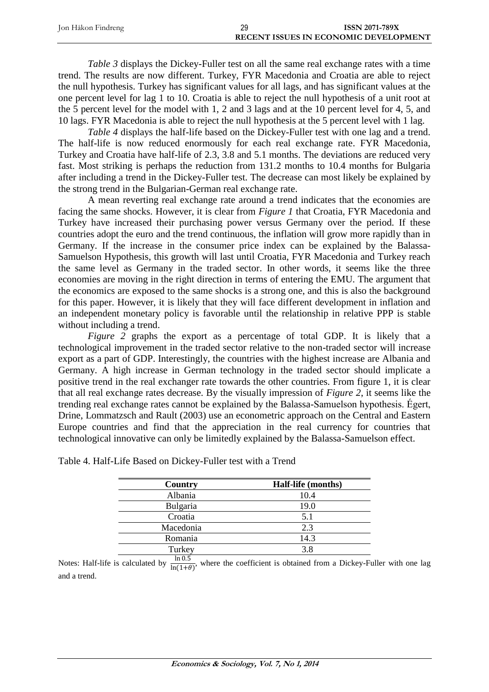| Jon Håkon Findreng | 29 | <b>ISSN 2071-789X</b>                        |
|--------------------|----|----------------------------------------------|
|                    |    | <b>RECENT ISSUES IN ECONOMIC DEVELOPMENT</b> |

*Table 3* displays the Dickey-Fuller test on all the same real exchange rates with a time trend. The results are now different. Turkey, FYR Macedonia and Croatia are able to reject the null hypothesis. Turkey has significant values for all lags, and has significant values at the one percent level for lag 1 to 10. Croatia is able to reject the null hypothesis of a unit root at the 5 percent level for the model with 1, 2 and 3 lags and at the 10 percent level for 4, 5, and 10 lags. FYR Macedonia is able to reject the null hypothesis at the 5 percent level with 1 lag.

*Table 4* displays the half-life based on the Dickey-Fuller test with one lag and a trend. The half-life is now reduced enormously for each real exchange rate. FYR Macedonia, Turkey and Croatia have half-life of 2.3, 3.8 and 5.1 months. The deviations are reduced very fast. Most striking is perhaps the reduction from 131.2 months to 10.4 months for Bulgaria after including a trend in the Dickey-Fuller test. The decrease can most likely be explained by the strong trend in the Bulgarian-German real exchange rate.

A mean reverting real exchange rate around a trend indicates that the economies are facing the same shocks. However, it is clear from *Figure 1* that Croatia, FYR Macedonia and Turkey have increased their purchasing power versus Germany over the period. If these countries adopt the euro and the trend continuous, the inflation will grow more rapidly than in Germany. If the increase in the consumer price index can be explained by the Balassa-Samuelson Hypothesis, this growth will last until Croatia, FYR Macedonia and Turkey reach the same level as Germany in the traded sector. In other words, it seems like the three economies are moving in the right direction in terms of entering the EMU. The argument that the economics are exposed to the same shocks is a strong one, and this is also the background for this paper. However, it is likely that they will face different development in inflation and an independent monetary policy is favorable until the relationship in relative PPP is stable without including a trend.

*Figure 2* graphs the export as a percentage of total GDP. It is likely that a technological improvement in the traded sector relative to the non-traded sector will increase export as a part of GDP. Interestingly, the countries with the highest increase are Albania and Germany. A high increase in German technology in the traded sector should implicate a positive trend in the real exchanger rate towards the other countries. From figure 1, it is clear that all real exchange rates decrease. By the visually impression of *Figure 2*, it seems like the trending real exchange rates cannot be explained by the Balassa-Samuelson hypothesis. Égert, Drine, Lommatzsch and Rault (2003) use an econometric approach on the Central and Eastern Europe countries and find that the appreciation in the real currency for countries that technological innovative can only be limitedly explained by the Balassa-Samuelson effect.

| Country          | Half-life (months) |
|------------------|--------------------|
| Albania          | 10.4               |
| Bulgaria         | 19.0               |
| Croatia          | 5.1                |
| Macedonia        | 2.3                |
| Romania          | 14.3               |
| Turkey           | 3.8                |
| $1 - 0$ $\Gamma$ |                    |

| Table 4. Half-Life Based on Dickey-Fuller test with a Trend |
|-------------------------------------------------------------|
|-------------------------------------------------------------|

Notes: Half-life is calculated by  $\frac{\ln 0.5}{\ln(1+\theta)}$ , where the coefficient is obtained from a Dickey-Fuller with one lag and a trend.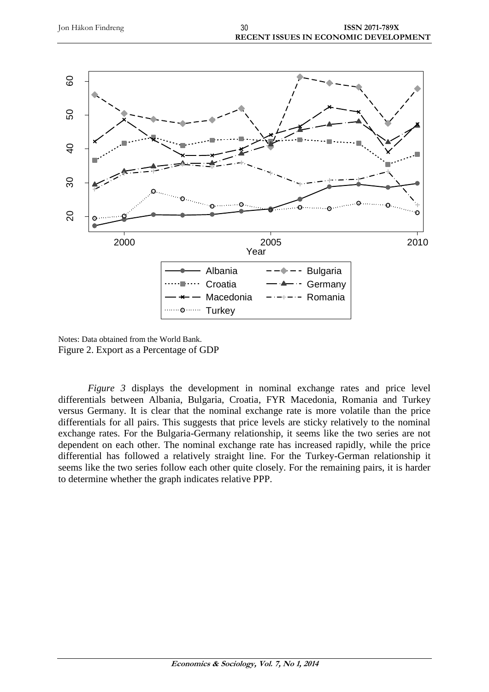

Notes: Data obtained from the World Bank. Figure 2. Export as a Percentage of GDP

*Figure 3* displays the development in nominal exchange rates and price level differentials between Albania, Bulgaria, Croatia, FYR Macedonia, Romania and Turkey versus Germany. It is clear that the nominal exchange rate is more volatile than the price differentials for all pairs. This suggests that price levels are sticky relatively to the nominal exchange rates. For the Bulgaria-Germany relationship, it seems like the two series are not dependent on each other. The nominal exchange rate has increased rapidly, while the price differential has followed a relatively straight line. For the Turkey-German relationship it seems like the two series follow each other quite closely. For the remaining pairs, it is harder to determine whether the graph indicates relative PPP.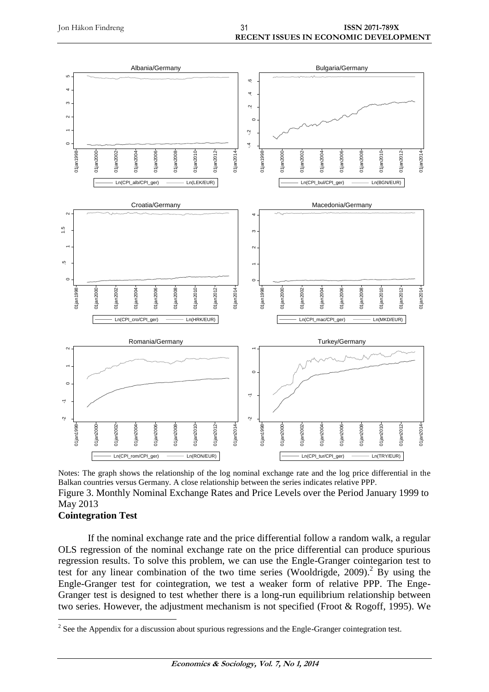

Notes: The graph shows the relationship of the log nominal exchange rate and the log price differential in the Balkan countries versus Germany. A close relationship between the series indicates relative PPP. Figure 3. Monthly Nominal Exchange Rates and Price Levels over the Period January 1999 to May 2013

### **Cointegration Test**

If the nominal exchange rate and the price differential follow a random walk, a regular OLS regression of the nominal exchange rate on the price differential can produce spurious regression results. To solve this problem, we can use the Engle-Granger cointegarion test to test for any linear combination of the two time series (Wooldrigde, 2009). <sup>2</sup> By using the Engle-Granger test for cointegration, we test a weaker form of relative PPP. The Enge-Granger test is designed to test whether there is a long-run equilibrium relationship between two series. However, the adjustment mechanism is not specified (Froot & Rogoff, 1995). We

<sup>&</sup>lt;sup>2</sup> See the Appendix for a discussion about spurious regressions and the Engle-Granger cointegration test.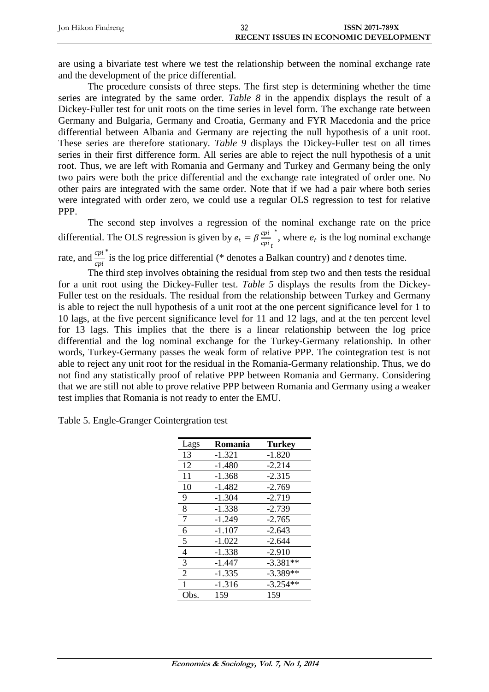| Jon Håkon Findreng | ົ | <b>ISSN 2071-789X</b>                        |
|--------------------|---|----------------------------------------------|
|                    |   | <b>RECENT ISSUES IN ECONOMIC DEVELOPMENT</b> |

are using a bivariate test where we test the relationship between the nominal exchange rate and the development of the price differential.

The procedure consists of three steps. The first step is determining whether the time series are integrated by the same order. *Table 8* in the appendix displays the result of a Dickey-Fuller test for unit roots on the time series in level form. The exchange rate between Germany and Bulgaria, Germany and Croatia, Germany and FYR Macedonia and the price differential between Albania and Germany are rejecting the null hypothesis of a unit root. These series are therefore stationary. *Table 9* displays the Dickey-Fuller test on all times series in their first difference form. All series are able to reject the null hypothesis of a unit root. Thus, we are left with Romania and Germany and Turkey and Germany being the only two pairs were both the price differential and the exchange rate integrated of order one. No other pairs are integrated with the same order. Note that if we had a pair where both series were integrated with order zero, we could use a regular OLS regression to test for relative PPP.

The second step involves a regression of the nominal exchange rate on the price differential. The OLS regression is given by  $e_t = \beta \frac{cpi}{cm}$ cpi <sub>t</sub>  $\check{e}$ , where  $e_t$  is the log nominal exchange

rate, and  $\frac{cpi}{cpi}$ ∗ is the log price differential (\* denotes a Balkan country) and *t* denotes time.

The third step involves obtaining the residual from step two and then tests the residual for a unit root using the Dickey-Fuller test. *Table 5* displays the results from the Dickey-Fuller test on the residuals. The residual from the relationship between Turkey and Germany is able to reject the null hypothesis of a unit root at the one percent significance level for 1 to 10 lags, at the five percent significance level for 11 and 12 lags, and at the ten percent level for 13 lags. This implies that the there is a linear relationship between the log price differential and the log nominal exchange for the Turkey-Germany relationship. In other words, Turkey-Germany passes the weak form of relative PPP. The cointegration test is not able to reject any unit root for the residual in the Romania-Germany relationship. Thus, we do not find any statistically proof of relative PPP between Romania and Germany. Considering that we are still not able to prove relative PPP between Romania and Germany using a weaker test implies that Romania is not ready to enter the EMU.

Table 5. Engle-Granger Cointergration test

| Lags           | Romania  | <b>Turkey</b> |
|----------------|----------|---------------|
| 13             | $-1.321$ | $-1.820$      |
| 12             | -1.480   | $-2.214$      |
| 11             | $-1.368$ | $-2.315$      |
| 10             | -1.482   | $-2.769$      |
| 9              | -1.304   | $-2.719$      |
| 8              | $-1.338$ | $-2.739$      |
| 7              | $-1.249$ | $-2.765$      |
| 6              | $-1.107$ | $-2.643$      |
| 5              | $-1.022$ | $-2.644$      |
| 4              | $-1.338$ | $-2.910$      |
| 3              | -1.447   | $-3.381**$    |
| $\overline{2}$ | $-1.335$ | $-3.389**$    |
| 1              | $-1.316$ | $-3.254**$    |
| Obs.           | 159      | 159           |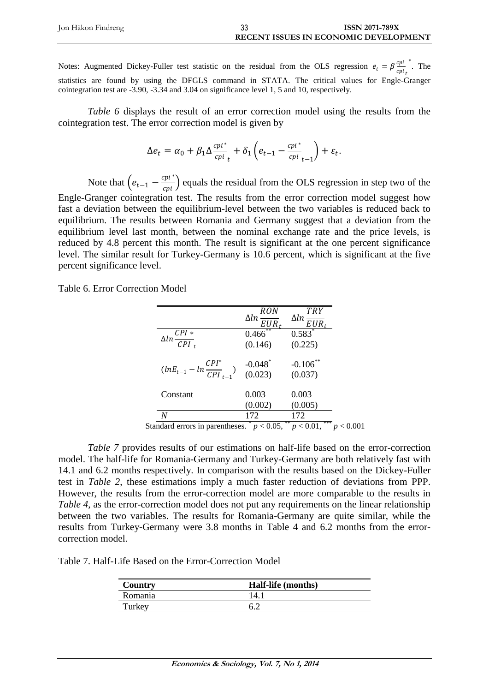| Jon Håkon Findreng | აა | <b>ISSN 2071-789X</b>                        |
|--------------------|----|----------------------------------------------|
|                    |    | <b>RECENT ISSUES IN ECONOMIC DEVELOPMENT</b> |

Notes: Augmented Dickey-Fuller test statistic on the residual from the OLS regression  $e_t = \beta \frac{cpi}{cm}$ cpi<sub>t</sub> ∗ . The statistics are found by using the DFGLS command in STATA. The critical values for Engle-Granger cointegration test are -3.90, -3.34 and 3.04 on significance level 1, 5 and 10, respectively.

*Table 6* displays the result of an error correction model using the results from the cointegration test. The error correction model is given by

$$
\Delta e_t = \alpha_0 + \beta_1 \Delta \frac{cpi^*}{cpi_t} + \delta_1 \left( e_{t-1} - \frac{cpi^*}{cpi_{t-1}} \right) + \varepsilon_t.
$$

Note that  $\left(e_{t-1} - \frac{cpi^*}{cpi}\right)$  $\frac{\partial u}{\partial r}$  equals the residual from the OLS regression in step two of the Engle-Granger cointegration test. The results from the error correction model suggest how

fast a deviation between the equilibrium-level between the two variables is reduced back to equilibrium. The results between Romania and Germany suggest that a deviation from the equilibrium level last month, between the nominal exchange rate and the price levels, is reduced by 4.8 percent this month. The result is significant at the one percent significance level. The similar result for Turkey-Germany is 10.6 percent, which is significant at the five percent significance level.

Table 6. Error Correction Model

|            | <b>TRY</b><br>$\Delta ln \frac{Im}{EUR_t}$                                                              |
|------------|---------------------------------------------------------------------------------------------------------|
| $0.466$ ** | $0.583*$                                                                                                |
| (0.146)    | (0.225)                                                                                                 |
|            | $-0.106$ **                                                                                             |
|            | (0.037)                                                                                                 |
| 0.003      | 0.003                                                                                                   |
| (0.002)    | (0.005)                                                                                                 |
| 172        | 172                                                                                                     |
|            | $\Delta ln \frac{RON}{EUR_t}$<br>$(lnE_{t-1} - ln \frac{CPI^*}{CPI_{t-1}})$ -0.048 <sup>*</sup> (0.023) |

*Table 7* provides results of our estimations on half-life based on the error-correction model. The half-life for Romania-Germany and Turkey-Germany are both relatively fast with 14.1 and 6.2 months respectively. In comparison with the results based on the Dickey-Fuller test in *Table 2*, these estimations imply a much faster reduction of deviations from PPP. However, the results from the error-correction model are more comparable to the results in *Table 4*, as the error-correction model does not put any requirements on the linear relationship between the two variables. The results for Romania-Germany are quite similar, while the results from Turkey-Germany were 3.8 months in Table 4 and 6.2 months from the errorcorrection model.

Table 7. Half-Life Based on the Error-Correction Model

| Country | <b>Half-life</b> (months) |
|---------|---------------------------|
| Romania | '4.                       |
| Turkey  |                           |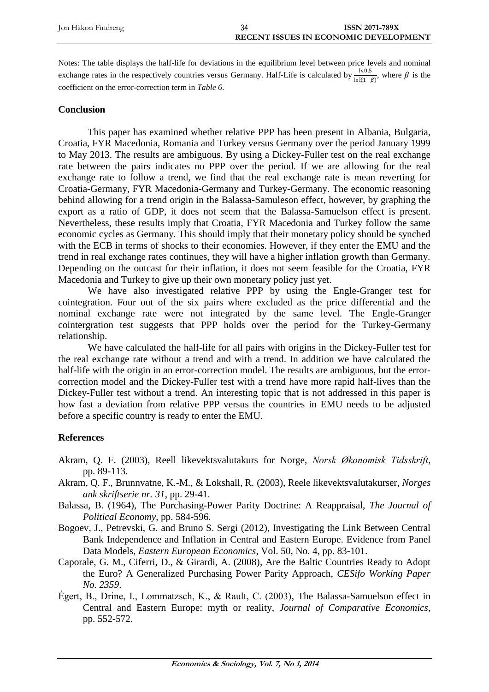Notes: The table displays the half-life for deviations in the equilibrium level between price levels and nominal exchange rates in the respectively countries versus Germany. Half-Life is calculated by  $\frac{ln 0.5}{ln \ddot{x}(1-\beta)}$ , where  $\beta$  is the coefficient on the error-correction term in *Table 6*.

#### **Conclusion**

This paper has examined whether relative PPP has been present in Albania, Bulgaria, Croatia, FYR Macedonia, Romania and Turkey versus Germany over the period January 1999 to May 2013. The results are ambiguous. By using a Dickey-Fuller test on the real exchange rate between the pairs indicates no PPP over the period. If we are allowing for the real exchange rate to follow a trend, we find that the real exchange rate is mean reverting for Croatia-Germany, FYR Macedonia-Germany and Turkey-Germany. The economic reasoning behind allowing for a trend origin in the Balassa-Samuleson effect, however, by graphing the export as a ratio of GDP, it does not seem that the Balassa-Samuelson effect is present. Nevertheless, these results imply that Croatia, FYR Macedonia and Turkey follow the same economic cycles as Germany. This should imply that their monetary policy should be synched with the ECB in terms of shocks to their economies. However, if they enter the EMU and the trend in real exchange rates continues, they will have a higher inflation growth than Germany. Depending on the outcast for their inflation, it does not seem feasible for the Croatia, FYR Macedonia and Turkey to give up their own monetary policy just yet.

We have also investigated relative PPP by using the Engle-Granger test for cointegration. Four out of the six pairs where excluded as the price differential and the nominal exchange rate were not integrated by the same level. The Engle-Granger cointergration test suggests that PPP holds over the period for the Turkey-Germany relationship.

We have calculated the half-life for all pairs with origins in the Dickey-Fuller test for the real exchange rate without a trend and with a trend. In addition we have calculated the half-life with the origin in an error-correction model. The results are ambiguous, but the errorcorrection model and the Dickey-Fuller test with a trend have more rapid half-lives than the Dickey-Fuller test without a trend. An interesting topic that is not addressed in this paper is how fast a deviation from relative PPP versus the countries in EMU needs to be adjusted before a specific country is ready to enter the EMU.

### **References**

- Akram, Q. F. (2003), Reell likevektsvalutakurs for Norge, *Norsk Økonomisk Tidsskrift*, pp. 89-113.
- Akram, Q. F., Brunnvatne, K.-M., & Lokshall, R. (2003), Reele likevektsvalutakurser, *Norges ank skriftserie nr. 31*, pp. 29-41.
- Balassa, B. (1964), The Purchasing-Power Parity Doctrine: A Reappraisal, *The Journal of Political Economy*, pp. 584-596.
- Bogoev, J., Petrevski, G. and Bruno S. Sergi (2012), Investigating the Link Between Central Bank Independence and Inflation in Central and Eastern Europe. Evidence from Panel Data Models, *Eastern European Economics*, Vol. 50, No. 4, pp. 83-101.
- Caporale, G. M., Ciferri, D., & Girardi, A. (2008), Are the Baltic Countries Ready to Adopt the Euro? A Generalized Purchasing Power Parity Approach, *CESifo Working Paper No. 2359*.
- Égert, B., Drine, I., Lommatzsch, K., & Rault, C. (2003), The Balassa-Samuelson effect in Central and Eastern Europe: myth or reality, *Journal of Comparative Economics*, pp. 552-572.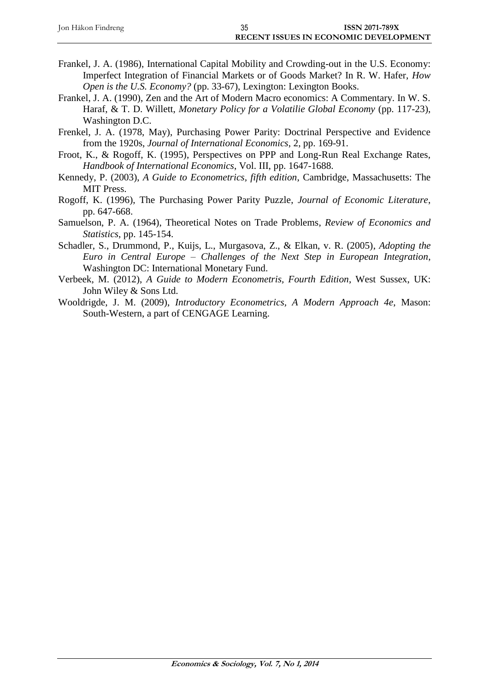| Jon Håkon Findreng | 35 | <b>ISSN 2071-789X</b>                        |
|--------------------|----|----------------------------------------------|
|                    |    | <b>RECENT ISSUES IN ECONOMIC DEVELOPMENT</b> |

- Frankel, J. A. (1986), International Capital Mobility and Crowding-out in the U.S. Economy: Imperfect Integration of Financial Markets or of Goods Market? In R. W. Hafer, *How Open is the U.S. Economy?* (pp. 33-67), Lexington: Lexington Books.
- Frankel, J. A. (1990), Zen and the Art of Modern Macro economics: A Commentary. In W. S. Haraf, & T. D. Willett, *Monetary Policy for a Volatilie Global Economy* (pp. 117-23), Washington D.C.
- Frenkel, J. A. (1978, May), Purchasing Power Parity: Doctrinal Perspective and Evidence from the 1920s, *Journal of International Economics*, 2, pp. 169-91.
- Froot, K., & Rogoff, K. (1995), Perspectives on PPP and Long-Run Real Exchange Rates, *Handbook of International Economics*, Vol. III, pp. 1647-1688.
- Kennedy, P. (2003), *A Guide to Econometrics, fifth edition*, Cambridge, Massachusetts: The MIT Press.
- Rogoff, K. (1996), The Purchasing Power Parity Puzzle, *Journal of Economic Literature*, pp. 647-668.
- Samuelson, P. A. (1964), Theoretical Notes on Trade Problems, *Review of Economics and Statistics*, pp. 145-154.
- Schadler, S., Drummond, P., Kuijs, L., Murgasova, Z., & Elkan, v. R. (2005), *Adopting the Euro in Central Europe – Challenges of the Next Step in European Integration*, Washington DC: International Monetary Fund.
- Verbeek, M. (2012), *A Guide to Modern Econometris, Fourth Edition*, West Sussex, UK: John Wiley & Sons Ltd.
- Wooldrigde, J. M. (2009), *Introductory Econometrics, A Modern Approach 4e*, Mason: South-Western, a part of CENGAGE Learning.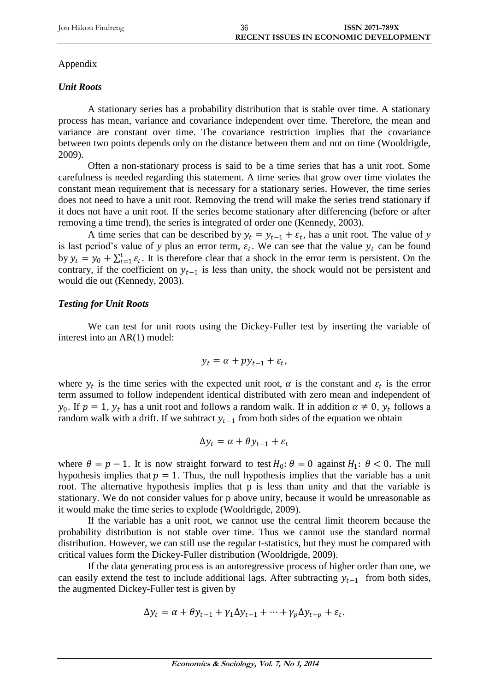# Appendix

# *Unit Roots*

A stationary series has a probability distribution that is stable over time. A stationary process has mean, variance and covariance independent over time. Therefore, the mean and variance are constant over time. The covariance restriction implies that the covariance between two points depends only on the distance between them and not on time (Wooldrigde, 2009).

Often a non-stationary process is said to be a time series that has a unit root. Some carefulness is needed regarding this statement. A time series that grow over time violates the constant mean requirement that is necessary for a stationary series. However, the time series does not need to have a unit root. Removing the trend will make the series trend stationary if it does not have a unit root. If the series become stationary after differencing (before or after removing a time trend), the series is integrated of order one (Kennedy, 2003).

A time series that can be described by  $y_t = y_{t-1} + \varepsilon_t$ , has a unit root. The value of *y* is last period's value of *y* plus an error term,  $\varepsilon_t$ . We can see that the value  $y_t$  can be found by  $y_t = y_0 + \sum_{i=1}^t \varepsilon_i$ . It is therefore clear that a shock in the error term is persistent. On the contrary, if the coefficient on  $y_{t-1}$  is less than unity, the shock would not be persistent and would die out (Kennedy, 2003).

## *Testing for Unit Roots*

We can test for unit roots using the Dickey-Fuller test by inserting the variable of interest into an AR(1) model:

$$
y_t = \alpha + p y_{t-1} + \varepsilon_t,
$$

where  $y_t$  is the time series with the expected unit root,  $\alpha$  is the constant and  $\varepsilon_t$  is the error term assumed to follow independent identical distributed with zero mean and independent of  $y_0$ . If  $p = 1$ ,  $y_t$  has a unit root and follows a random walk. If in addition  $\alpha \neq 0$ ,  $y_t$  follows a random walk with a drift. If we subtract  $y_{t-1}$  from both sides of the equation we obtain

$$
\Delta y_t = \alpha + \theta y_{t-1} + \varepsilon_t
$$

where  $\theta = p - 1$ . It is now straight forward to test  $H_0: \theta = 0$  against  $H_1: \theta < 0$ . The null hypothesis implies that  $p = 1$ . Thus, the null hypothesis implies that the variable has a unit root. The alternative hypothesis implies that p is less than unity and that the variable is stationary. We do not consider values for p above unity, because it would be unreasonable as it would make the time series to explode (Wooldrigde, 2009).

If the variable has a unit root, we cannot use the central limit theorem because the probability distribution is not stable over time. Thus we cannot use the standard normal distribution. However, we can still use the regular t-statistics, but they must be compared with critical values form the Dickey-Fuller distribution (Wooldrigde, 2009).

If the data generating process is an autoregressive process of higher order than one, we can easily extend the test to include additional lags. After subtracting  $y_{t-1}$  from both sides, the augmented Dickey-Fuller test is given by

$$
\Delta y_t = \alpha + \theta y_{t-1} + \gamma_1 \Delta y_{t-1} + \dots + \gamma_p \Delta y_{t-p} + \varepsilon_t.
$$